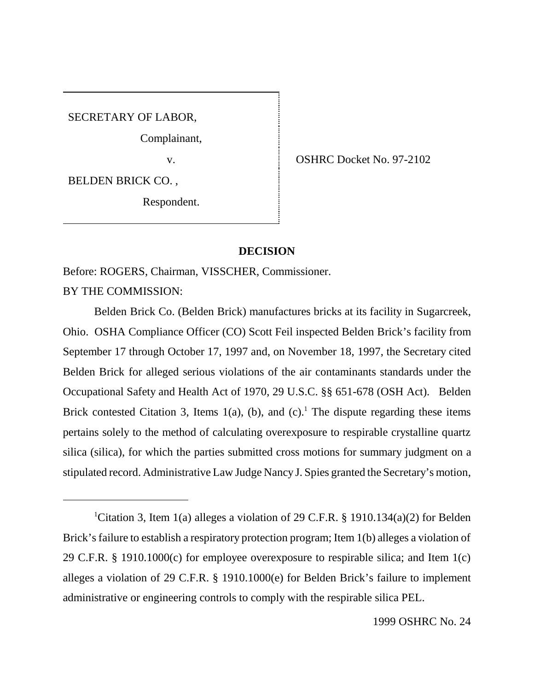SECRETARY OF LABOR,

Complainant,

BELDEN BRICK CO. ,

Respondent.

v. SHRC Docket No. 97-2102

## **DECISION**

Before: ROGERS, Chairman, VISSCHER, Commissioner.

BY THE COMMISSION:

Belden Brick Co. (Belden Brick) manufactures bricks at its facility in Sugarcreek, Ohio. OSHA Compliance Officer (CO) Scott Feil inspected Belden Brick's facility from September 17 through October 17, 1997 and, on November 18, 1997, the Secretary cited Belden Brick for alleged serious violations of the air contaminants standards under the Occupational Safety and Health Act of 1970, 29 U.S.C. §§ 651-678 (OSH Act). Belden Brick contested Citation 3, Items  $1(a)$ , (b), and (c).<sup>1</sup> The dispute regarding these items pertains solely to the method of calculating overexposure to respirable crystalline quartz silica (silica), for which the parties submitted cross motions for summary judgment on a stipulated record. Administrative Law Judge Nancy J. Spies granted the Secretary's motion,

<sup>&</sup>lt;sup>1</sup>Citation 3, Item 1(a) alleges a violation of 29 C.F.R. § 1910.134(a)(2) for Belden Brick's failure to establish a respiratory protection program; Item 1(b) alleges a violation of 29 C.F.R. § 1910.1000(c) for employee overexposure to respirable silica; and Item 1(c) alleges a violation of 29 C.F.R. § 1910.1000(e) for Belden Brick's failure to implement administrative or engineering controls to comply with the respirable silica PEL.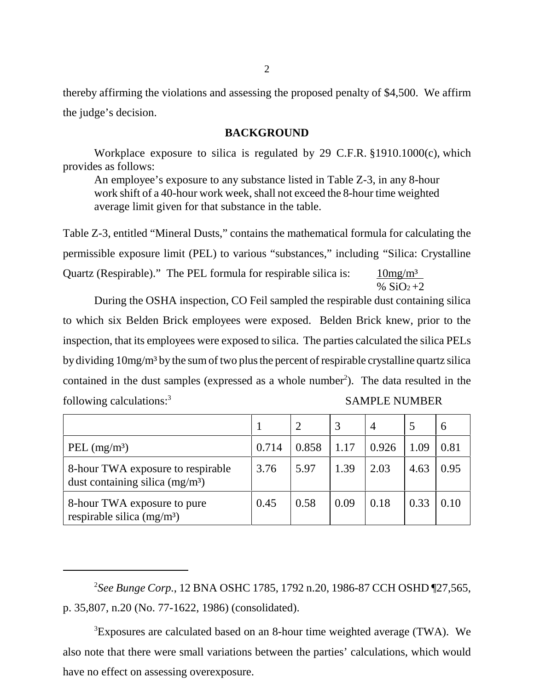thereby affirming the violations and assessing the proposed penalty of \$4,500. We affirm the judge's decision.

## **BACKGROUND**

 Workplace exposure to silica is regulated by 29 C.F.R. §1910.1000(c), which provides as follows:

An employee's exposure to any substance listed in Table Z-3, in any 8-hour work shift of a 40-hour work week, shall not exceed the 8-hour time weighted average limit given for that substance in the table.

Table Z-3, entitled "Mineral Dusts," contains the mathematical formula for calculating the permissible exposure limit (PEL) to various "substances," including "Silica: Crystalline Quartz (Respirable)." The PEL formula for respirable silica is:  $10mg/m<sup>3</sup>$ %  $SiO<sub>2</sub>+2$ 

During the OSHA inspection, CO Feil sampled the respirable dust containing silica to which six Belden Brick employees were exposed. Belden Brick knew, prior to the inspection, that its employees were exposed to silica. The parties calculated the silica PELs by dividing 10mg/m³ by the sum of two plus the percent of respirable crystalline quartz silica contained in the dust samples (expressed as a whole number<sup>2</sup>). The data resulted in the following calculations:<sup>3</sup> SAMPLE NUMBER

|                                                                       |       |       | 3    | $\overline{4}$ |      | 6    |
|-----------------------------------------------------------------------|-------|-------|------|----------------|------|------|
| PEL $(mg/m3)$                                                         | 0.714 | 0.858 | 1.17 | 0.926          | 1.09 | 0.81 |
| 8-hour TWA exposure to respirable<br>dust containing silica $(mg/m3)$ | 3.76  | 5.97  | 1.39 | 2.03           | 4.63 | 0.95 |
| 8-hour TWA exposure to pure<br>respirable silica $(mg/m3)$            | 0.45  | 0.58  | 0.09 | 0.18           | 0.33 | 0.10 |

2 *See Bunge Corp.*, 12 BNA OSHC 1785, 1792 n.20, 1986-87 CCH OSHD ¶27,565, p. 35,807, n.20 (No. 77-1622, 1986) (consolidated).

<sup>3</sup>Exposures are calculated based on an 8-hour time weighted average (TWA). We also note that there were small variations between the parties' calculations, which would have no effect on assessing overexposure.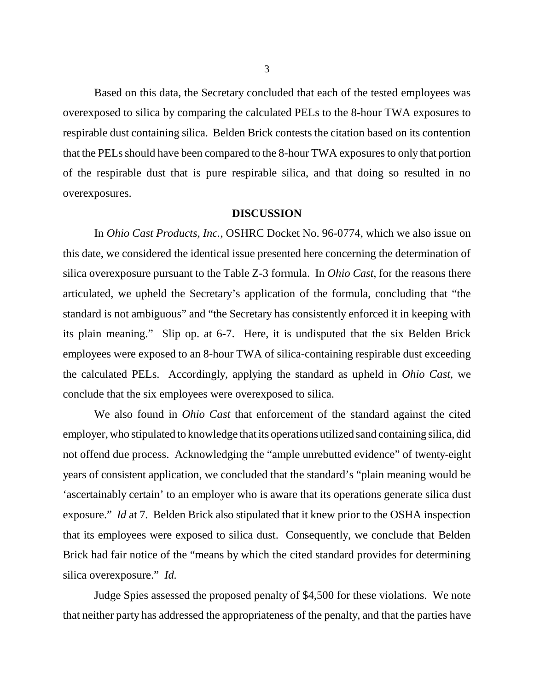Based on this data, the Secretary concluded that each of the tested employees was overexposed to silica by comparing the calculated PELs to the 8-hour TWA exposures to respirable dust containing silica. Belden Brick contests the citation based on its contention that the PELs should have been compared to the 8-hour TWA exposures to only that portion of the respirable dust that is pure respirable silica, and that doing so resulted in no overexposures.

### **DISCUSSION**

In *Ohio Cast Products, Inc.*, OSHRC Docket No. 96-0774, which we also issue on this date, we considered the identical issue presented here concerning the determination of silica overexposure pursuant to the Table Z-3 formula. In *Ohio Cast*, for the reasons there articulated, we upheld the Secretary's application of the formula, concluding that "the standard is not ambiguous" and "the Secretary has consistently enforced it in keeping with its plain meaning." Slip op. at 6-7. Here, it is undisputed that the six Belden Brick employees were exposed to an 8-hour TWA of silica-containing respirable dust exceeding the calculated PELs. Accordingly, applying the standard as upheld in *Ohio Cast*, we conclude that the six employees were overexposed to silica.

We also found in *Ohio Cast* that enforcement of the standard against the cited employer, who stipulated to knowledge that its operations utilized sand containing silica, did not offend due process. Acknowledging the "ample unrebutted evidence" of twenty-eight years of consistent application, we concluded that the standard's "plain meaning would be 'ascertainably certain' to an employer who is aware that its operations generate silica dust exposure." *Id* at 7*.* Belden Brick also stipulated that it knew prior to the OSHA inspection that its employees were exposed to silica dust. Consequently, we conclude that Belden Brick had fair notice of the "means by which the cited standard provides for determining silica overexposure." *Id.*

Judge Spies assessed the proposed penalty of \$4,500 for these violations. We note that neither party has addressed the appropriateness of the penalty, and that the parties have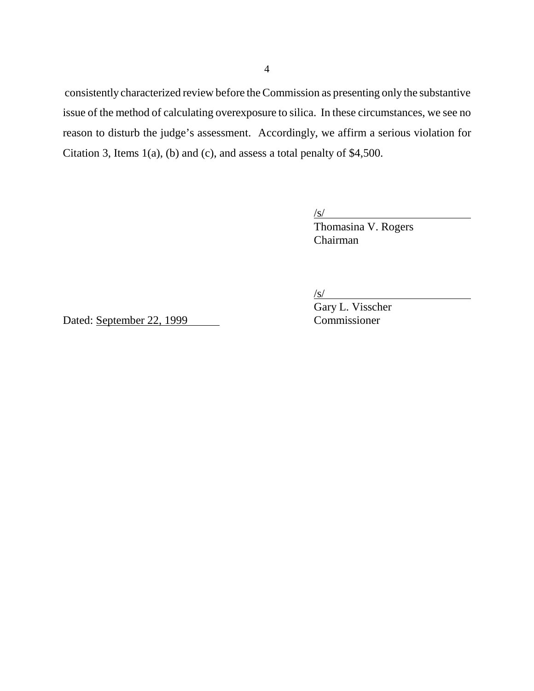consistently characterized review before the Commission as presenting only the substantive issue of the method of calculating overexposure to silica. In these circumstances, we see no reason to disturb the judge's assessment. Accordingly, we affirm a serious violation for Citation 3, Items 1(a), (b) and (c), and assess a total penalty of \$4,500.

> /s/ Thomasina V. Rogers Chairman

 $\sqrt{s}$ /

Gary L. Visscher

Dated: September 22, 1999 Commissioner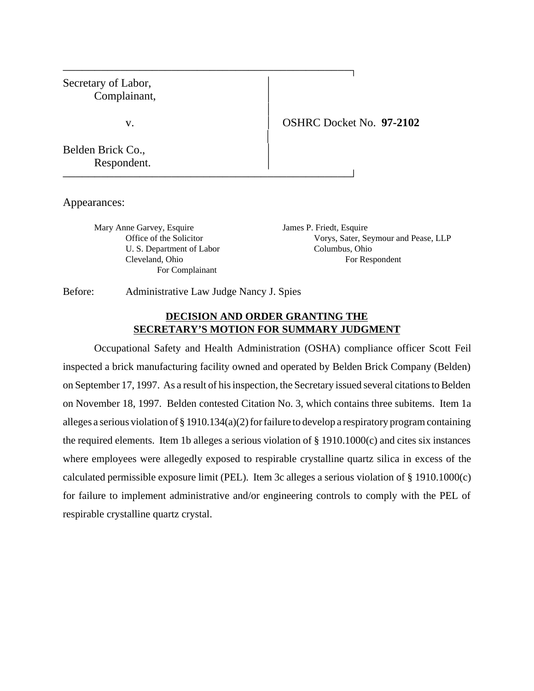| Secretary of Labor,<br>Complainant, |                                 |
|-------------------------------------|---------------------------------|
| V.                                  | <b>OSHRC Docket No. 97-2102</b> |
| Belden Brick Co.,<br>Respondent.    |                                 |

Appearances:

Mary Anne Garvey, Esquire James P. Friedt, Esquire U. S. Department of Labor Columbus, Ohio For Complainant

Office of the Solicitor Vorys, Sater, Seymour and Pease, LLP Cleveland, Ohio For Respondent

Before: Administrative Law Judge Nancy J. Spies

## **DECISION AND ORDER GRANTING THE SECRETARY'S MOTION FOR SUMMARY JUDGMENT**

Occupational Safety and Health Administration (OSHA) compliance officer Scott Feil inspected a brick manufacturing facility owned and operated by Belden Brick Company (Belden) on September 17, 1997. As a result of his inspection, the Secretary issued several citations to Belden on November 18, 1997. Belden contested Citation No. 3, which contains three subitems. Item 1a alleges a serious violation of § 1910.134(a)(2) for failure to develop a respiratory program containing the required elements. Item 1b alleges a serious violation of § 1910.1000(c) and cites six instances where employees were allegedly exposed to respirable crystalline quartz silica in excess of the calculated permissible exposure limit (PEL). Item 3c alleges a serious violation of § 1910.1000(c) for failure to implement administrative and/or engineering controls to comply with the PEL of respirable crystalline quartz crystal.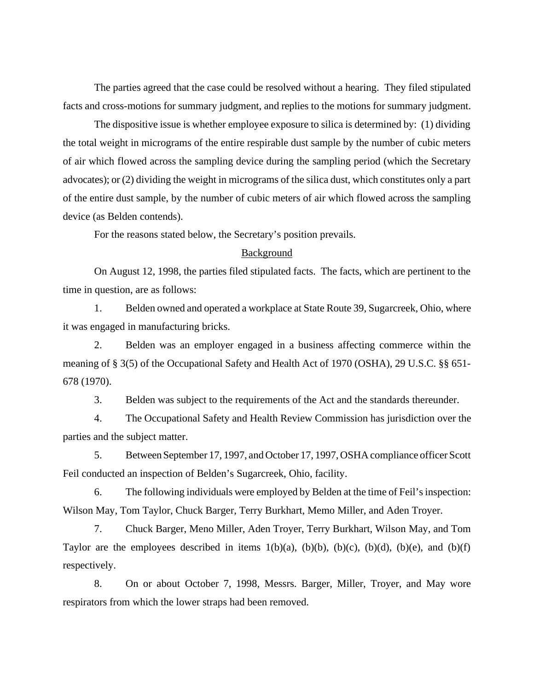The parties agreed that the case could be resolved without a hearing. They filed stipulated facts and cross-motions for summary judgment, and replies to the motions for summary judgment.

The dispositive issue is whether employee exposure to silica is determined by: (1) dividing the total weight in micrograms of the entire respirable dust sample by the number of cubic meters of air which flowed across the sampling device during the sampling period (which the Secretary advocates); or (2) dividing the weight in micrograms of the silica dust, which constitutes only a part of the entire dust sample, by the number of cubic meters of air which flowed across the sampling device (as Belden contends).

For the reasons stated below, the Secretary's position prevails.

#### Background

On August 12, 1998, the parties filed stipulated facts. The facts, which are pertinent to the time in question, are as follows:

1. Belden owned and operated a workplace at State Route 39, Sugarcreek, Ohio, where it was engaged in manufacturing bricks.

2. Belden was an employer engaged in a business affecting commerce within the meaning of § 3(5) of the Occupational Safety and Health Act of 1970 (OSHA), 29 U.S.C. §§ 651- 678 (1970).

3. Belden was subject to the requirements of the Act and the standards thereunder.

4. The Occupational Safety and Health Review Commission has jurisdiction over the parties and the subject matter.

5. Between September 17, 1997, and October 17, 1997, OSHA compliance officer Scott Feil conducted an inspection of Belden's Sugarcreek, Ohio, facility.

6. The following individuals were employed by Belden at the time of Feil's inspection: Wilson May, Tom Taylor, Chuck Barger, Terry Burkhart, Memo Miller, and Aden Troyer.

7. Chuck Barger, Meno Miller, Aden Troyer, Terry Burkhart, Wilson May, and Tom Taylor are the employees described in items  $1(b)(a)$ ,  $(b)(b)$ ,  $(b)(c)$ ,  $(b)(d)$ ,  $(b)(e)$ , and  $(b)(f)$ respectively.

8. On or about October 7, 1998, Messrs. Barger, Miller, Troyer, and May wore respirators from which the lower straps had been removed.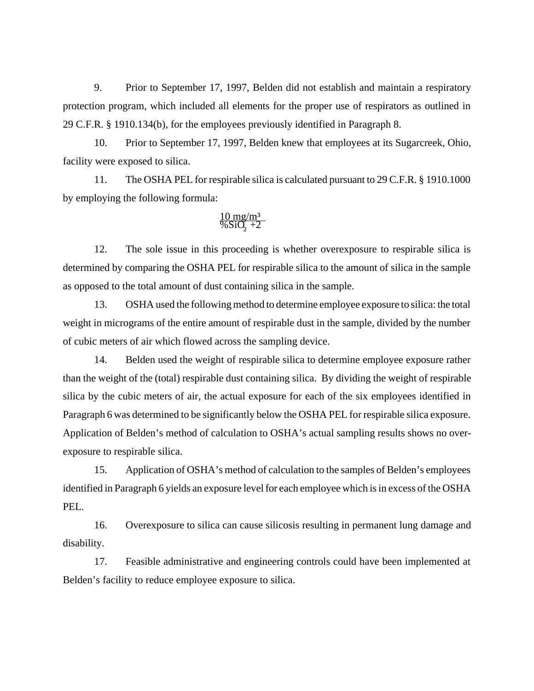9. Prior to September 17, 1997, Belden did not establish and maintain a respiratory protection program, which included all elements for the proper use of respirators as outlined in 29 C.F.R. § 1910.134(b), for the employees previously identified in Paragraph 8.

10. Prior to September 17, 1997, Belden knew that employees at its Sugarcreek, Ohio, facility were exposed to silica.

11. The OSHA PEL for respirable silica is calculated pursuant to 29 C.F.R. § 1910.1000 by employing the following formula:

$$
\tfrac{10~mg/m^3}{\% SiO_2+2}
$$

12. The sole issue in this proceeding is whether overexposure to respirable silica is determined by comparing the OSHA PEL for respirable silica to the amount of silica in the sample as opposed to the total amount of dust containing silica in the sample.

13. OSHA used the following method to determine employee exposure to silica: the total weight in micrograms of the entire amount of respirable dust in the sample, divided by the number of cubic meters of air which flowed across the sampling device.

14. Belden used the weight of respirable silica to determine employee exposure rather than the weight of the (total) respirable dust containing silica. By dividing the weight of respirable silica by the cubic meters of air, the actual exposure for each of the six employees identified in Paragraph 6 was determined to be significantly below the OSHA PEL for respirable silica exposure. Application of Belden's method of calculation to OSHA's actual sampling results shows no overexposure to respirable silica.

15. Application of OSHA's method of calculation to the samples of Belden's employees identified in Paragraph 6 yields an exposure level for each employee which is in excess of the OSHA PEL.

16. Overexposure to silica can cause silicosis resulting in permanent lung damage and disability.

17. Feasible administrative and engineering controls could have been implemented at Belden's facility to reduce employee exposure to silica.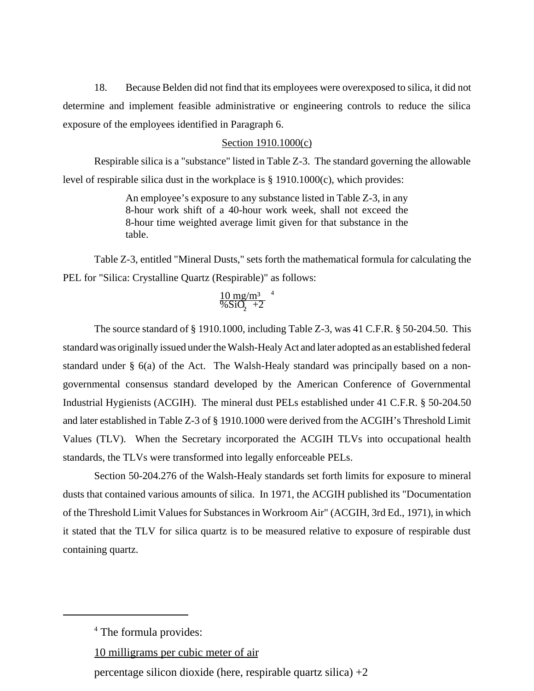18. Because Belden did not find that its employees were overexposed to silica, it did not determine and implement feasible administrative or engineering controls to reduce the silica exposure of the employees identified in Paragraph 6.

## Section 1910.1000(c)

Respirable silica is a "substance" listed in Table Z-3. The standard governing the allowable level of respirable silica dust in the workplace is § 1910.1000(c), which provides:

> An employee's exposure to any substance listed in Table Z-3, in any 8-hour work shift of a 40-hour work week, shall not exceed the 8-hour time weighted average limit given for that substance in the table.

Table Z-3, entitled "Mineral Dusts," sets forth the mathematical formula for calculating the PEL for "Silica: Crystalline Quartz (Respirable)" as follows:

# $10 \text{ mg/m}^3$   $^4$  $\frac{6}{5}$  +2

The source standard of § 1910.1000, including Table Z-3, was 41 C.F.R. § 50-204.50. This standard was originally issued under the Walsh-Healy Act and later adopted as an established federal standard under  $\S$  6(a) of the Act. The Walsh-Healy standard was principally based on a nongovernmental consensus standard developed by the American Conference of Governmental Industrial Hygienists (ACGIH). The mineral dust PELs established under 41 C.F.R. § 50-204.50 and later established in Table Z-3 of § 1910.1000 were derived from the ACGIH's Threshold Limit Values (TLV). When the Secretary incorporated the ACGIH TLVs into occupational health standards, the TLVs were transformed into legally enforceable PELs.

Section 50-204.276 of the Walsh-Healy standards set forth limits for exposure to mineral dusts that contained various amounts of silica. In 1971, the ACGIH published its "Documentation of the Threshold Limit Values for Substances in Workroom Air" (ACGIH, 3rd Ed., 1971), in which it stated that the TLV for silica quartz is to be measured relative to exposure of respirable dust containing quartz.

10 milligrams per cubic meter of air

percentage silicon dioxide (here, respirable quartz silica)  $+2$ 

<sup>&</sup>lt;sup>4</sup> The formula provides: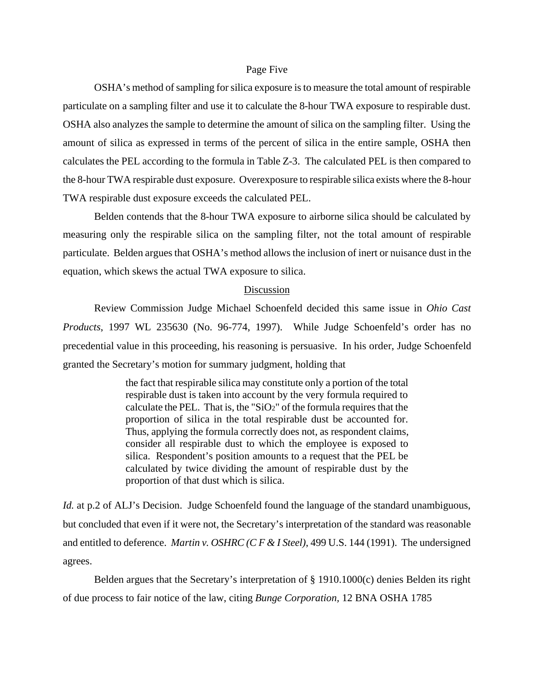#### Page Five

OSHA's method of sampling for silica exposure is to measure the total amount of respirable particulate on a sampling filter and use it to calculate the 8-hour TWA exposure to respirable dust. OSHA also analyzes the sample to determine the amount of silica on the sampling filter. Using the amount of silica as expressed in terms of the percent of silica in the entire sample, OSHA then calculates the PEL according to the formula in Table Z-3. The calculated PEL is then compared to the 8-hour TWA respirable dust exposure. Overexposure to respirable silica exists where the 8-hour TWA respirable dust exposure exceeds the calculated PEL.

Belden contends that the 8-hour TWA exposure to airborne silica should be calculated by measuring only the respirable silica on the sampling filter, not the total amount of respirable particulate. Belden argues that OSHA's method allows the inclusion of inert or nuisance dust in the equation, which skews the actual TWA exposure to silica.

#### Discussion

Review Commission Judge Michael Schoenfeld decided this same issue in *Ohio Cast Products*, 1997 WL 235630 (No. 96-774, 1997). While Judge Schoenfeld's order has no precedential value in this proceeding, his reasoning is persuasive. In his order, Judge Schoenfeld granted the Secretary's motion for summary judgment, holding that

> the fact that respirable silica may constitute only a portion of the total respirable dust is taken into account by the very formula required to calculate the PEL. That is, the "SiO2" of the formula requires that the proportion of silica in the total respirable dust be accounted for. Thus, applying the formula correctly does not, as respondent claims, consider all respirable dust to which the employee is exposed to silica. Respondent's position amounts to a request that the PEL be calculated by twice dividing the amount of respirable dust by the proportion of that dust which is silica.

*Id.* at p.2 of ALJ's Decision. Judge Schoenfeld found the language of the standard unambiguous, but concluded that even if it were not, the Secretary's interpretation of the standard was reasonable and entitled to deference. *Martin v. OSHRC (C F & I Steel)*, 499 U.S. 144 (1991). The undersigned agrees.

Belden argues that the Secretary's interpretation of § 1910.1000(c) denies Belden its right of due process to fair notice of the law, citing *Bunge Corporation,* 12 BNA OSHA 1785